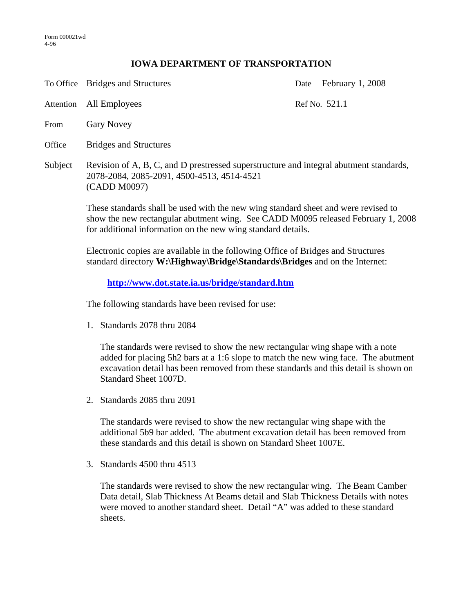## **IOWA DEPARTMENT OF TRANSPORTATION**

To Office Bridges and Structures Date February 1, 2008

Attention All Employees Ref No. 521.1

- From Gary Novey
- Office Bridges and Structures
- Subject Revision of A, B, C, and D prestressed superstructure and integral abutment standards, 2078-2084, 2085-2091, 4500-4513, 4514-4521 (CADD M0097)

These standards shall be used with the new wing standard sheet and were revised to show the new rectangular abutment wing. See CADD M0095 released February 1, 2008 for additional information on the new wing standard details.

Electronic copies are available in the following Office of Bridges and Structures standard directory **W:\Highway\Bridge\Standards\Bridges** and on the Internet:

**http://www.dot.state.ia.us/bridge/standard.htm**

The following standards have been revised for use:

1. Standards 2078 thru 2084

The standards were revised to show the new rectangular wing shape with a note added for placing 5h2 bars at a 1:6 slope to match the new wing face. The abutment excavation detail has been removed from these standards and this detail is shown on Standard Sheet 1007D.

2. Standards 2085 thru 2091

The standards were revised to show the new rectangular wing shape with the additional 5b9 bar added. The abutment excavation detail has been removed from these standards and this detail is shown on Standard Sheet 1007E.

3. Standards 4500 thru 4513

The standards were revised to show the new rectangular wing. The Beam Camber Data detail, Slab Thickness At Beams detail and Slab Thickness Details with notes were moved to another standard sheet. Detail "A" was added to these standard sheets.